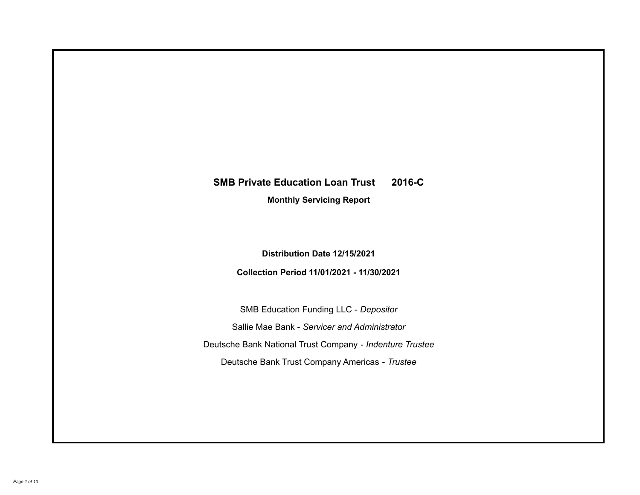# **SMB Private Education Loan Trust 2016-C**

**Monthly Servicing Report**

**Distribution Date 12/15/2021**

**Collection Period 11/01/2021 - 11/30/2021**

SMB Education Funding LLC - *Depositor* Sallie Mae Bank - *Servicer and Administrator* Deutsche Bank National Trust Company - *Indenture Trustee* Deutsche Bank Trust Company Americas - *Trustee*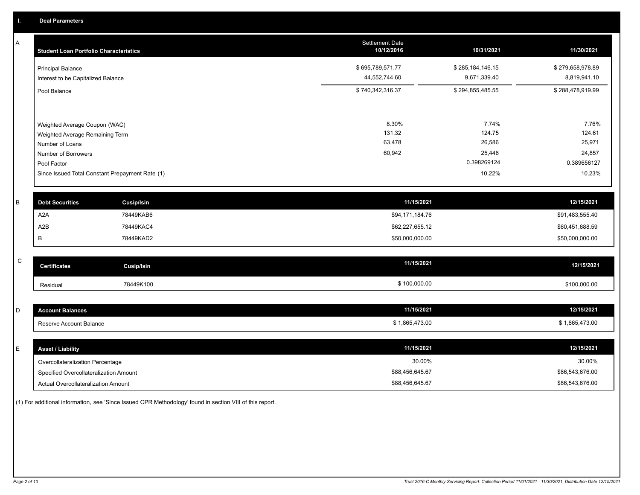A

| A | <b>Student Loan Portfolio Characteristics</b>                  |                   | <b>Settlement Date</b><br>10/12/2016 | 10/31/2021                       | 11/30/2021                       |
|---|----------------------------------------------------------------|-------------------|--------------------------------------|----------------------------------|----------------------------------|
|   | <b>Principal Balance</b><br>Interest to be Capitalized Balance |                   | \$695,789,571.77<br>44,552,744.60    | \$285,184,146.15<br>9,671,339.40 | \$279,658,978.89<br>8,819,941.10 |
|   | Pool Balance                                                   |                   | \$740,342,316.37                     | \$294,855,485.55                 | \$288,478,919.99                 |
|   | Weighted Average Coupon (WAC)                                  |                   | 8.30%                                | 7.74%                            | 7.76%                            |
|   | Weighted Average Remaining Term<br>Number of Loans             |                   | 131.32<br>63,478                     | 124.75<br>26,586                 | 124.61<br>25,971                 |
|   | Number of Borrowers<br>Pool Factor                             |                   | 60,942                               | 25,446<br>0.398269124            | 24,857<br>0.389656127            |
|   | Since Issued Total Constant Prepayment Rate (1)                |                   |                                      | 10.22%                           | 10.23%                           |
| в | <b>Debt Securities</b>                                         | <b>Cusip/Isin</b> | 11/15/2021                           |                                  | 12/15/2021                       |
|   | A <sub>2</sub> A                                               | 78449KAB6         | \$94,171,184.76                      |                                  | \$91,483,555.40                  |

| $\sim$<br>◡ | <b>Certificates</b> | Cusip/Isin | 11/15/2021   | 12/15/2021   |
|-------------|---------------------|------------|--------------|--------------|
|             | Residual            | 78449K100  | \$100,000.00 | \$100,000.00 |

562,227,655.12 \$60,451,688.59 \$60,451,688.59 \$62,227,655.12 \$62,227,655.12 \$60,451,688.59 \$60,451,688 B 78449KAD2 78449KAD2 78449KAD2 50,000,000 \$50,000,000 \$50,000,000.00 \$50,000,000 \$50,000,000 \$50,000,000.00

| $\sim$<br>ັ | count Balances          | 11/15/2021   | 12/15/2021                             |
|-------------|-------------------------|--------------|----------------------------------------|
|             | Reserve Account Balance | 1.865.473.00 | <b>865 473 OI</b><br>55.4/3.4<br>ິດບະກ |

| <b>Asset / Liability</b>               | 11/15/2021      | 12/15/2021      |
|----------------------------------------|-----------------|-----------------|
| Overcollateralization Percentage       | 30.00%          | 30.00%          |
| Specified Overcollateralization Amount | \$88,456,645.67 | \$86,543,676.00 |
| Actual Overcollateralization Amount    | \$88,456,645.67 | \$86,543,676.00 |

(1) For additional information, see 'Since Issued CPR Methodology' found in section VIII of this report .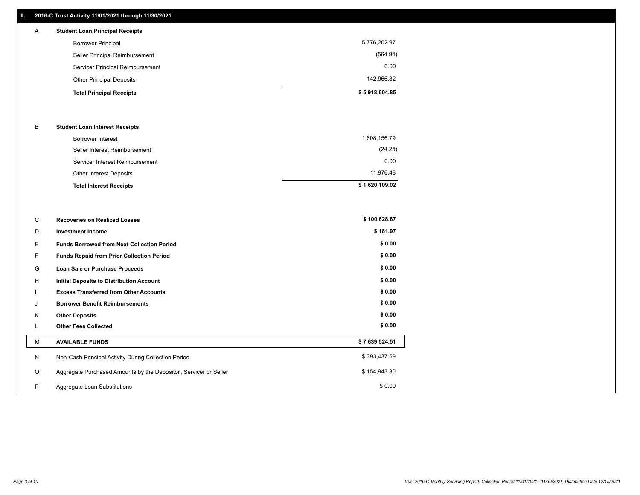## **II. 2016-C Trust Activity 11/01/2021 through 11/30/2021**

| A | <b>Student Loan Principal Receipts</b> |                |
|---|----------------------------------------|----------------|
|   | <b>Borrower Principal</b>              | 5,776,202.97   |
|   | Seller Principal Reimbursement         | (564.94)       |
|   | Servicer Principal Reimbursement       | 0.00           |
|   | <b>Other Principal Deposits</b>        | 142.966.82     |
|   | <b>Total Principal Receipts</b>        | \$5,918,604.85 |

#### B **Student Loan Interest Receipts**

| <b>Total Interest Receipts</b>  | \$1,620,109.02 |
|---------------------------------|----------------|
| Other Interest Deposits         | 11.976.48      |
| Servicer Interest Reimbursement | 0.00           |
| Seller Interest Reimbursement   | (24.25)        |
| Borrower Interest               | 1,608,156.79   |

| C       | <b>Recoveries on Realized Losses</b>                             | \$100,628.67   |
|---------|------------------------------------------------------------------|----------------|
| D       | <b>Investment Income</b>                                         | \$181.97       |
| Ε.      | <b>Funds Borrowed from Next Collection Period</b>                | \$0.00         |
| F.      | <b>Funds Repaid from Prior Collection Period</b>                 | \$0.00         |
| G       | Loan Sale or Purchase Proceeds                                   | \$0.00         |
| H       | Initial Deposits to Distribution Account                         | \$0.00         |
|         | <b>Excess Transferred from Other Accounts</b>                    | \$0.00         |
| J       | <b>Borrower Benefit Reimbursements</b>                           | \$0.00         |
| K       | <b>Other Deposits</b>                                            | \$0.00         |
|         | <b>Other Fees Collected</b>                                      | \$0.00         |
| M       | <b>AVAILABLE FUNDS</b>                                           | \$7,639,524.51 |
| N       | Non-Cash Principal Activity During Collection Period             | \$393,437.59   |
| $\circ$ | Aggregate Purchased Amounts by the Depositor, Servicer or Seller | \$154,943.30   |
| P       | Aggregate Loan Substitutions                                     | \$0.00         |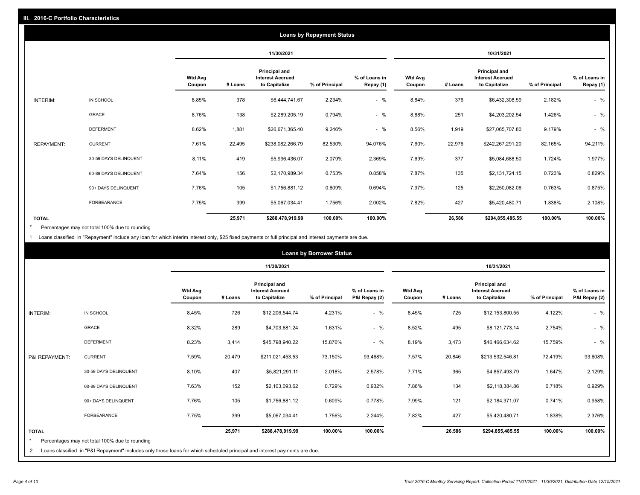|                   |                       |                          |         |                                                           | <b>Loans by Repayment Status</b> |                            |                          |         |                                                           |                |                            |
|-------------------|-----------------------|--------------------------|---------|-----------------------------------------------------------|----------------------------------|----------------------------|--------------------------|---------|-----------------------------------------------------------|----------------|----------------------------|
|                   |                       |                          |         | 11/30/2021                                                |                                  |                            |                          |         | 10/31/2021                                                |                |                            |
|                   |                       | <b>Wtd Avg</b><br>Coupon | # Loans | Principal and<br><b>Interest Accrued</b><br>to Capitalize | % of Principal                   | % of Loans in<br>Repay (1) | <b>Wtd Avg</b><br>Coupon | # Loans | Principal and<br><b>Interest Accrued</b><br>to Capitalize | % of Principal | % of Loans in<br>Repay (1) |
| INTERIM:          | IN SCHOOL             | 8.85%                    | 378     | \$6,444,741.67                                            | 2.234%                           | $-$ %                      | 8.84%                    | 376     | \$6,432,308.59                                            | 2.182%         | $-$ %                      |
|                   | GRACE                 | 8.76%                    | 138     | \$2,289,205.19                                            | 0.794%                           | $-$ %                      | 8.88%                    | 251     | \$4,203,202.54                                            | 1.426%         | $-$ %                      |
|                   | <b>DEFERMENT</b>      | 8.62%                    | 1,881   | \$26,671,365.40                                           | 9.246%                           | $-$ %                      | 8.56%                    | 1,919   | \$27,065,707.80                                           | 9.179%         | $-$ %                      |
| <b>REPAYMENT:</b> | <b>CURRENT</b>        | 7.61%                    | 22,495  | \$238,082,266.79                                          | 82.530%                          | 94.076%                    | 7.60%                    | 22,976  | \$242,267,291.20                                          | 82.165%        | 94.211%                    |
|                   | 30-59 DAYS DELINQUENT | 8.11%                    | 419     | \$5,996,436.07                                            | 2.079%                           | 2.369%                     | 7.69%                    | 377     | \$5,084,688.50                                            | 1.724%         | 1.977%                     |
|                   | 60-89 DAYS DELINQUENT | 7.64%                    | 156     | \$2,170,989.34                                            | 0.753%                           | 0.858%                     | 7.87%                    | 135     | \$2,131,724.15                                            | 0.723%         | 0.829%                     |
|                   | 90+ DAYS DELINQUENT   | 7.76%                    | 105     | \$1,756,881.12                                            | 0.609%                           | 0.694%                     | 7.97%                    | 125     | \$2,250,082.06                                            | 0.763%         | 0.875%                     |
|                   | <b>FORBEARANCE</b>    | 7.75%                    | 399     | \$5,067,034.41                                            | 1.756%                           | 2.002%                     | 7.82%                    | 427     | \$5,420,480.71                                            | 1.838%         | 2.108%                     |
| <b>TOTAL</b>      |                       |                          | 25,971  | \$288,478,919.99                                          | 100.00%                          | 100.00%                    |                          | 26,586  | \$294,855,485.55                                          | 100.00%        | 100.00%                    |

Percentages may not total 100% due to rounding \*

1 Loans classified in "Repayment" include any loan for which interim interest only, \$25 fixed payments or full principal and interest payments are due.

|                 |                                                                                                                            |                          |         |                                                                  | <b>Loans by Borrower Status</b> |                                |                          |         |                                                                  |                |                                |
|-----------------|----------------------------------------------------------------------------------------------------------------------------|--------------------------|---------|------------------------------------------------------------------|---------------------------------|--------------------------------|--------------------------|---------|------------------------------------------------------------------|----------------|--------------------------------|
|                 |                                                                                                                            |                          |         | 11/30/2021                                                       |                                 |                                | 10/31/2021               |         |                                                                  |                |                                |
|                 |                                                                                                                            | <b>Wtd Avg</b><br>Coupon | # Loans | <b>Principal and</b><br><b>Interest Accrued</b><br>to Capitalize | % of Principal                  | % of Loans in<br>P&I Repay (2) | <b>Wtd Avg</b><br>Coupon | # Loans | <b>Principal and</b><br><b>Interest Accrued</b><br>to Capitalize | % of Principal | % of Loans in<br>P&I Repay (2) |
| <b>INTERIM:</b> | IN SCHOOL                                                                                                                  | 8.45%                    | 726     | \$12,206,544.74                                                  | 4.231%                          | $-$ %                          | 8.45%                    | 725     | \$12,153,800.55                                                  | 4.122%         | $-$ %                          |
|                 | <b>GRACE</b>                                                                                                               | 8.32%                    | 289     | \$4,703,681.24                                                   | 1.631%                          | $-$ %                          | 8.52%                    | 495     | \$8,121,773.14                                                   | 2.754%         | $-$ %                          |
|                 | <b>DEFERMENT</b>                                                                                                           | 8.23%                    | 3,414   | \$45,798,940.22                                                  | 15.876%                         | $-$ %                          | 8.19%                    | 3,473   | \$46,466,634.62                                                  | 15.759%        | $-$ %                          |
| P&I REPAYMENT:  | <b>CURRENT</b>                                                                                                             | 7.59%                    | 20,479  | \$211,021,453.53                                                 | 73.150%                         | 93.468%                        | 7.57%                    | 20,846  | \$213,532,546.81                                                 | 72.419%        | 93.608%                        |
|                 | 30-59 DAYS DELINQUENT                                                                                                      | 8.10%                    | 407     | \$5,821,291.11                                                   | 2.018%                          | 2.578%                         | 7.71%                    | 365     | \$4,857,493.79                                                   | 1.647%         | 2.129%                         |
|                 | 60-89 DAYS DELINQUENT                                                                                                      | 7.63%                    | 152     | \$2,103,093.62                                                   | 0.729%                          | 0.932%                         | 7.86%                    | 134     | \$2,118,384.86                                                   | 0.718%         | 0.929%                         |
|                 | 90+ DAYS DELINQUENT                                                                                                        | 7.76%                    | 105     | \$1,756,881.12                                                   | 0.609%                          | 0.778%                         | 7.99%                    | 121     | \$2,184,371.07                                                   | 0.741%         | 0.958%                         |
|                 | <b>FORBEARANCE</b>                                                                                                         | 7.75%                    | 399     | \$5,067,034.41                                                   | 1.756%                          | 2.244%                         | 7.82%                    | 427     | \$5,420,480.71                                                   | 1.838%         | 2.376%                         |
| <b>TOTAL</b>    |                                                                                                                            |                          | 25,971  | \$288,478,919.99                                                 | 100.00%                         | 100.00%                        |                          | 26,586  | \$294,855,485.55                                                 | 100.00%        | 100.00%                        |
| $\star$         | Percentages may not total 100% due to rounding                                                                             |                          |         |                                                                  |                                 |                                |                          |         |                                                                  |                |                                |
| 2               | Loans classified in "P&I Repayment" includes only those loans for which scheduled principal and interest payments are due. |                          |         |                                                                  |                                 |                                |                          |         |                                                                  |                |                                |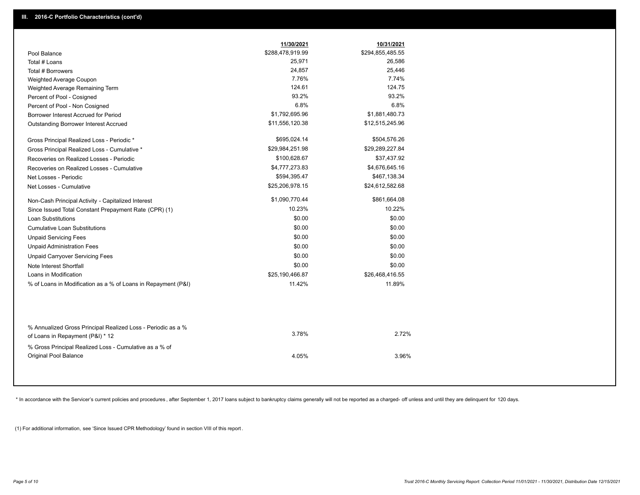|                                                               | 11/30/2021       | 10/31/2021       |
|---------------------------------------------------------------|------------------|------------------|
| Pool Balance                                                  | \$288,478,919.99 | \$294,855,485.55 |
| Total # Loans                                                 | 25,971           | 26,586           |
| Total # Borrowers                                             | 24,857           | 25,446           |
| Weighted Average Coupon                                       | 7.76%            | 7.74%            |
| Weighted Average Remaining Term                               | 124.61           | 124.75           |
| Percent of Pool - Cosigned                                    | 93.2%            | 93.2%            |
| Percent of Pool - Non Cosigned                                | 6.8%             | 6.8%             |
| Borrower Interest Accrued for Period                          | \$1,792,695.96   | \$1,881,480.73   |
| Outstanding Borrower Interest Accrued                         | \$11,556,120.38  | \$12,515,245.96  |
| Gross Principal Realized Loss - Periodic *                    | \$695,024.14     | \$504,576.26     |
| Gross Principal Realized Loss - Cumulative *                  | \$29,984,251.98  | \$29,289,227.84  |
| Recoveries on Realized Losses - Periodic                      | \$100,628.67     | \$37,437.92      |
| Recoveries on Realized Losses - Cumulative                    | \$4,777,273.83   | \$4,676,645.16   |
| Net Losses - Periodic                                         | \$594,395.47     | \$467,138.34     |
| Net Losses - Cumulative                                       | \$25,206,978.15  | \$24,612,582.68  |
| Non-Cash Principal Activity - Capitalized Interest            | \$1,090,770.44   | \$861,664.08     |
| Since Issued Total Constant Prepayment Rate (CPR) (1)         | 10.23%           | 10.22%           |
| <b>Loan Substitutions</b>                                     | \$0.00           | \$0.00           |
| <b>Cumulative Loan Substitutions</b>                          | \$0.00           | \$0.00           |
| <b>Unpaid Servicing Fees</b>                                  | \$0.00           | \$0.00           |
| <b>Unpaid Administration Fees</b>                             | \$0.00           | \$0.00           |
| <b>Unpaid Carryover Servicing Fees</b>                        | \$0.00           | \$0.00           |
| Note Interest Shortfall                                       | \$0.00           | \$0.00           |
| Loans in Modification                                         | \$25,190,466.87  | \$26,468,416.55  |
| % of Loans in Modification as a % of Loans in Repayment (P&I) | 11.42%           | 11.89%           |
|                                                               |                  |                  |
| % Annualized Gross Principal Realized Loss - Periodic as a %  | 3.78%            | 2.72%            |
| of Loans in Repayment (P&I) * 12                              |                  |                  |
| % Gross Principal Realized Loss - Cumulative as a % of        |                  |                  |
| Original Pool Balance                                         | 4.05%            | 3.96%            |

\* In accordance with the Servicer's current policies and procedures, after September 1, 2017 loans subject to bankruptcy claims generally will not be reported as a charged- off unless and until they are delinquent for 120

(1) For additional information, see 'Since Issued CPR Methodology' found in section VIII of this report .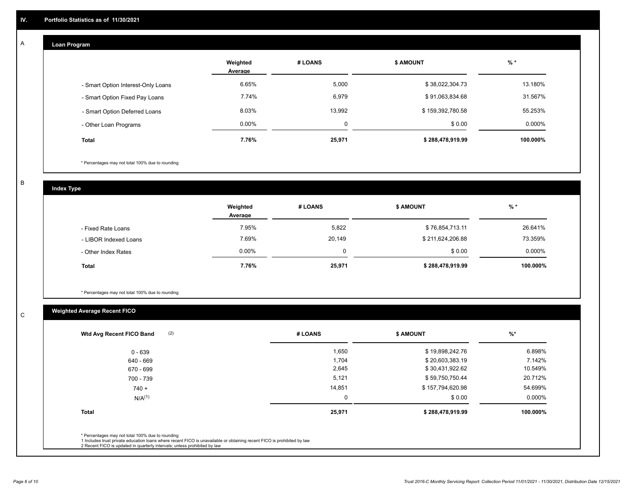#### **Loan Program**  A

|                                    | Weighted<br>Average | # LOANS     | <b>\$ AMOUNT</b> | $%$ *    |
|------------------------------------|---------------------|-------------|------------------|----------|
| - Smart Option Interest-Only Loans | 6.65%               | 5,000       | \$38,022,304.73  | 13.180%  |
| - Smart Option Fixed Pay Loans     | 7.74%               | 6,979       | \$91,063,834.68  | 31.567%  |
| - Smart Option Deferred Loans      | 8.03%               | 13.992      | \$159,392,780.58 | 55.253%  |
| - Other Loan Programs              | $0.00\%$            | $\mathbf 0$ | \$0.00           | 0.000%   |
| <b>Total</b>                       | 7.76%               | 25,971      | \$288,478,919.99 | 100.000% |

\* Percentages may not total 100% due to rounding

B

C

**Index Type**

|                       | Weighted<br>Average | # LOANS  | <b>\$ AMOUNT</b> | % *      |
|-----------------------|---------------------|----------|------------------|----------|
| - Fixed Rate Loans    | 7.95%               | 5,822    | \$76,854,713.11  | 26.641%  |
| - LIBOR Indexed Loans | 7.69%               | 20,149   | \$211,624,206.88 | 73.359%  |
| - Other Index Rates   | $0.00\%$            | $\Omega$ | \$0.00           | 0.000%   |
| <b>Total</b>          | 7.76%               | 25,971   | \$288,478,919.99 | 100.000% |

\* Percentages may not total 100% due to rounding

# **Weighted Average Recent FICO**

| (2)<br>Wtd Avg Recent FICO Band                                                                                                                                                                                                                          | # LOANS | <b>\$ AMOUNT</b> | %        |
|----------------------------------------------------------------------------------------------------------------------------------------------------------------------------------------------------------------------------------------------------------|---------|------------------|----------|
| 0 - 639                                                                                                                                                                                                                                                  | 1,650   | \$19,898,242.76  | 6.898%   |
| 640 - 669                                                                                                                                                                                                                                                | 1,704   | \$20,603,383.19  | 7.142%   |
| 670 - 699                                                                                                                                                                                                                                                | 2,645   | \$30,431,922.62  | 10.549%  |
| 700 - 739                                                                                                                                                                                                                                                | 5,121   | \$59,750,750.44  | 20.712%  |
| $740 +$                                                                                                                                                                                                                                                  | 14,851  | \$157,794,620.98 | 54.699%  |
| $N/A^{(1)}$                                                                                                                                                                                                                                              | 0       | \$0.00           | 0.000%   |
| <b>Total</b>                                                                                                                                                                                                                                             | 25,971  | \$288,478,919.99 | 100.000% |
|                                                                                                                                                                                                                                                          |         |                  |          |
| * Percentages may not total 100% due to rounding<br>1 Includes trust private education loans where recent FICO is unavailable or obtaining recent FICO is prohibited by law<br>2 Recent FICO is updated in quarterly intervals; unless prohibited by law |         |                  |          |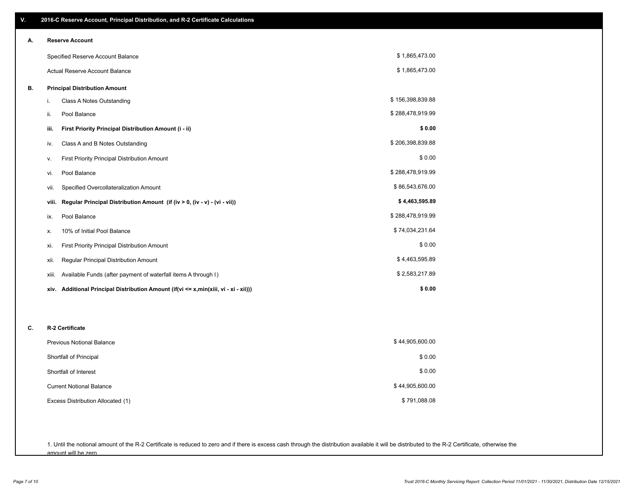| ٧. |                                   | 2016-C Reserve Account, Principal Distribution, and R-2 Certificate Calculations            |                  |
|----|-----------------------------------|---------------------------------------------------------------------------------------------|------------------|
| А. |                                   | <b>Reserve Account</b>                                                                      |                  |
|    | Specified Reserve Account Balance |                                                                                             | \$1,865,473.00   |
|    |                                   | Actual Reserve Account Balance                                                              | \$1,865,473.00   |
| В. |                                   | <b>Principal Distribution Amount</b>                                                        |                  |
|    | i.                                | Class A Notes Outstanding                                                                   | \$156,398,839.88 |
|    | ii.                               | Pool Balance                                                                                | \$288,478,919.99 |
|    | iii.                              | First Priority Principal Distribution Amount (i - ii)                                       | \$0.00           |
|    | iv.                               | Class A and B Notes Outstanding                                                             | \$206,398,839.88 |
|    | v.                                | First Priority Principal Distribution Amount                                                | \$0.00           |
|    | vi.                               | Pool Balance                                                                                | \$288,478,919.99 |
|    | vii.                              | Specified Overcollateralization Amount                                                      | \$86,543,676.00  |
|    | viii.                             | Regular Principal Distribution Amount (if (iv > 0, (iv - v) - (vi - vii))                   | \$4,463,595.89   |
|    | ix.                               | Pool Balance                                                                                | \$288,478,919.99 |
|    | х.                                | 10% of Initial Pool Balance                                                                 | \$74,034,231.64  |
|    | xi.                               | <b>First Priority Principal Distribution Amount</b>                                         | \$0.00           |
|    | xii.                              | Regular Principal Distribution Amount                                                       | \$4,463,595.89   |
|    | xiii.                             | Available Funds (after payment of waterfall items A through I)                              | \$2,583,217.89   |
|    |                                   | xiv. Additional Principal Distribution Amount (if (vi $\leq x$ , min(xiii, vi - xi - xii))) | \$0.00           |
|    |                                   |                                                                                             |                  |
| C. |                                   | R-2 Certificate                                                                             |                  |
|    |                                   | Previous Notional Balance                                                                   | \$44,905,600.00  |
|    | Shortfall of Principal            |                                                                                             | \$0.00           |
|    | Shortfall of Interest             |                                                                                             | \$0.00           |
|    | <b>Current Notional Balance</b>   |                                                                                             | \$44,905,600.00  |
|    |                                   | Excess Distribution Allocated (1)                                                           | \$791,088.08     |
|    |                                   |                                                                                             |                  |
|    |                                   |                                                                                             |                  |

1. Until the notional amount of the R-2 Certificate is reduced to zero and if there is excess cash through the distribution available it will be distributed to the R-2 Certificate, otherwise the amount will be zero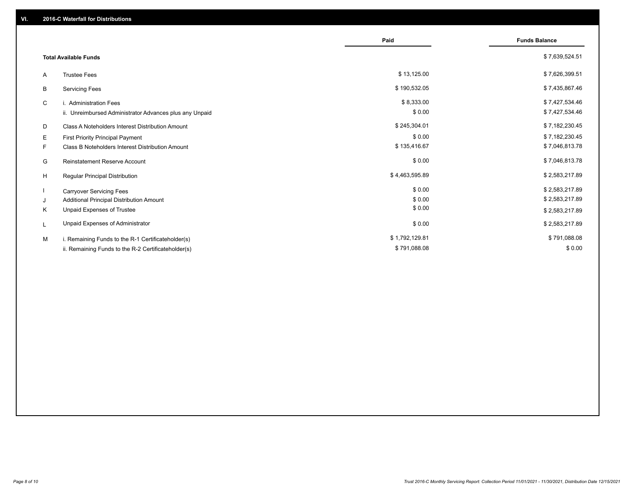|    |                                                         | Paid           | <b>Funds Balance</b> |
|----|---------------------------------------------------------|----------------|----------------------|
|    | <b>Total Available Funds</b>                            |                | \$7,639,524.51       |
| A  | <b>Trustee Fees</b>                                     | \$13,125.00    | \$7,626,399.51       |
| В  | <b>Servicing Fees</b>                                   | \$190,532.05   | \$7,435,867.46       |
| C  | i. Administration Fees                                  | \$8,333.00     | \$7,427,534.46       |
|    | ii. Unreimbursed Administrator Advances plus any Unpaid | \$0.00         | \$7,427,534.46       |
| D  | Class A Noteholders Interest Distribution Amount        | \$245,304.01   | \$7,182,230.45       |
| Е  | First Priority Principal Payment                        | \$0.00         | \$7,182,230.45       |
| F. | Class B Noteholders Interest Distribution Amount        | \$135,416.67   | \$7,046,813.78       |
| G  | <b>Reinstatement Reserve Account</b>                    | \$0.00         | \$7,046,813.78       |
| H  | Regular Principal Distribution                          | \$4,463,595.89 | \$2,583,217.89       |
|    | <b>Carryover Servicing Fees</b>                         | \$0.00         | \$2,583,217.89       |
| J  | Additional Principal Distribution Amount                | \$0.00         | \$2,583,217.89       |
| Κ  | Unpaid Expenses of Trustee                              | \$0.00         | \$2,583,217.89       |
| L  | Unpaid Expenses of Administrator                        | \$0.00         | \$2,583,217.89       |
| M  | i. Remaining Funds to the R-1 Certificateholder(s)      | \$1,792,129.81 | \$791,088.08         |
|    | ii. Remaining Funds to the R-2 Certificateholder(s)     | \$791,088.08   | \$0.00               |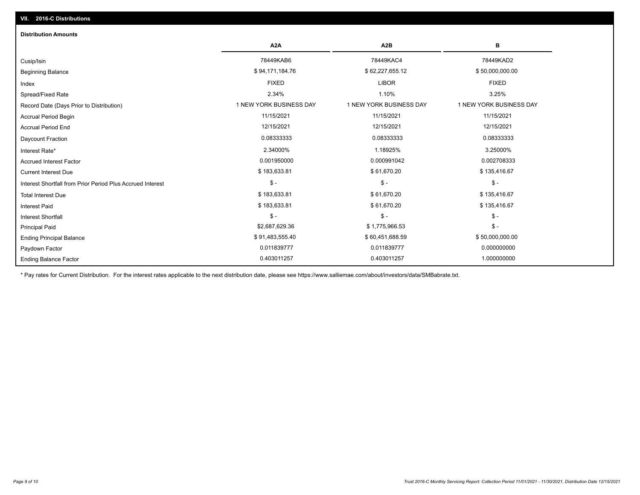# Ending Balance Factor Paydown Factor 0.011839777 0.011839777 0.000000000 Ending Principal Balance \$ 50,000,000.00 \$ 91,483,555.40 \$ \$60,451,688.59 \$ 50,000,000.00 \$ 50,000,000.00 Principal Paid \$2,687,629.36 \$ 1,775,966.53 \$ - \$ - \$ - \$ - Interest Shortfall \$ 183,633.81 \$ 61,670.20 \$ 135,416.67 Interest Paid Total Interest Due \$ 183,633.81 \$ 61,670.20 \$ 135,416.67 \$ - \$ - \$ - Interest Shortfall from Prior Period Plus Accrued Interest Current Interest Due \$ 183,633.81 \$ 61,670.20 \$ 135,416.67 Accrued Interest Factor **0.002708333** 0.001950000 0.001950000 0.000991042 0.000991042 0.0002708333 Interest Rate\* 2.34000% 1.18925% 3.25000% Daycount Fraction 0.08333333 0.08333333 0.08333333 Accrual Period End 12/15/2021 12/15/2021 12/15/2021 Accrual Period Begin 11/15/2021 11/15/2021 11/15/2021 Record Date (Days Prior to Distribution) **1 NEW YORK BUSINESS DAY** 1 NEW YORK BUSINESS DAY 1 NEW YORK BUSINESS DAY Spread/Fixed Rate 2.34% 1.10% 3.25% Index FIXED LIBOR FIXED Beginning Balance \$ 50,000,000.00 \$ \$94,171,184.76 \$ \$94,171,184.76 \$ \$62,227,655.12 \$ \$50,000,000.00 \$ \$50,000,000 Cusip/Isin 78449KAB6 78449KAC4 78449KAD2 **A2A A2B B** 0.403011257 0.403011257 1.000000000 **Distribution Amounts**

\* Pay rates for Current Distribution. For the interest rates applicable to the next distribution date, please see https://www.salliemae.com/about/investors/data/SMBabrate.txt.

**VII. 2016-C Distributions**